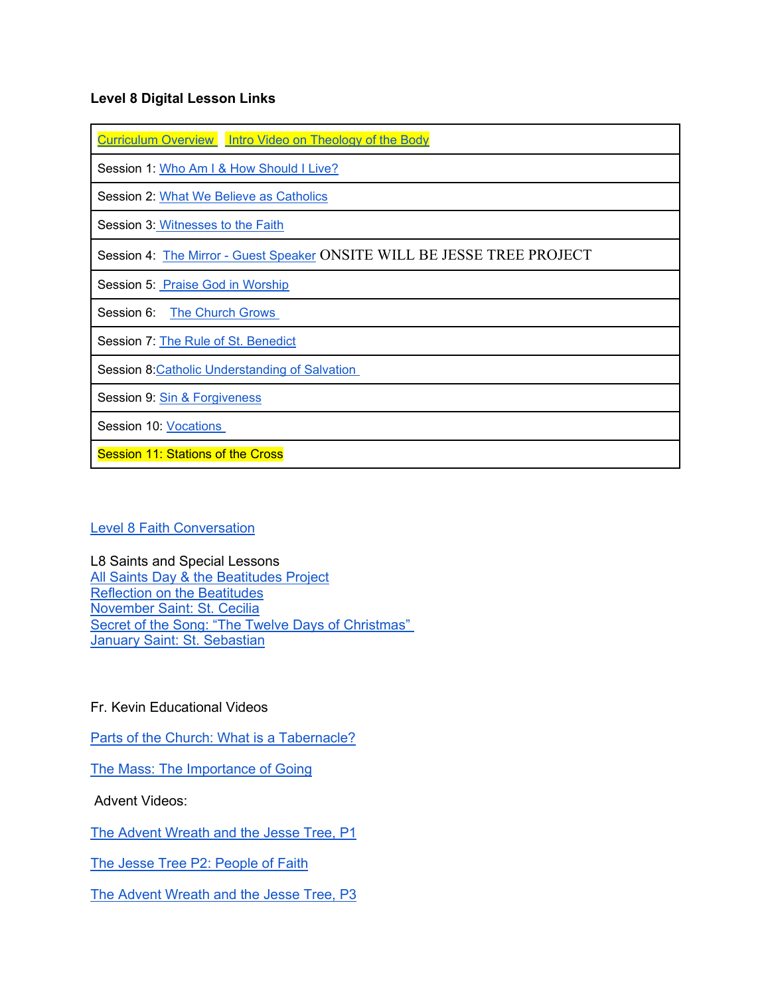## **Level 8 Digital Lesson Links**

|  | Curriculum Overview Intro Video on Theology of the Body |
|--|---------------------------------------------------------|
|--|---------------------------------------------------------|

Session 1: [Who Am I & How Should I Live?](https://olsvc.blogspot.com/2020/09/who-am-i-and-how-should-i-live.html)

Session 2: [What We Believe as Catholics](https://olsvc.blogspot.com/2020/10/session-2-what-we-believe.html)

Session 3: [Witnesses to the Faith](https://olsvc.blogspot.com/2020/10/session-3-witnesses-to-faith.html)

Session 4: The Mirror - [Guest Speaker](https://olsvc.blogspot.com/2020/11/session-5-mirror.html) ONSITE WILL BE JESSE TREE PROJECT

Session 5: [Praise God in Worship](https://olsvc.blogspot.com/2020/12/session-6-praise-god-in-worship.html)

Session 6: [The Church Grows](https://olsvc.blogspot.com/2020/11/session-4-church-grows.html)

Session 7: [The Rule of St. Benedict](https://olsvc.blogspot.com/2021/01/session-7-rule-of-st-benedict.html)

Session 8[:Catholic Understanding of Salvation](https://olsvc.blogspot.com/2021/02/level-8-session-8-catholic.html)

Session 9: [Sin & Forgiveness](https://olsvc.blogspot.com/2021/02/session-9-sin-forgiveness.html)

Session 10: [Vocations](https://olsvc.blogspot.com/2021/02/l8-session-10-vocations.html)

**Session 11: Stations of the Cross** 

## [Level 8 Faith Conversation](https://olsvc.blogspot.com/2021/02/level-8-faith-conversation.html)

L8 Saints and Special Lessons [All Saints Day & the Beatitudes Project](https://olsvc.blogspot.com/2020/09/the-beatitudes-and-all-saints-day.html) [Reflection on the Beatitudes](https://youtu.be/Kf94kUCtRq8) [November Saint: St. Cecilia](https://olsvc.blogspot.com/2020/10/november-saints-cecilia.html) [Secret of the Song: "The Twelve Days of Christmas"](https://olsvc.blogspot.com/2020/11/the-twelve-days-of-christmas-song-with.html) [January Saint: St. Sebastian](https://olsvc.blogspot.com/2020/12/january-saints-st-sebastian.html)

## Fr. Kevin Educational Videos

[Parts of the Church: What is a Tabernacle?](https://olsvc.blogspot.com/2020/09/what-is-tabernacle.html)

[The Mass: The Importance of Going](https://olsvc.blogspot.com/2020/11/the-mass-part-1-importance-of-going.html)

Advent Videos:

[The Advent Wreath and the Jesse Tree, P1](https://olsvc.blogspot.com/2020/11/the-advent-wreath-jesse-tree-part-1.html)

[The Jesse Tree P2: People of Faith](https://olsvc.blogspot.com/2020/12/the-jesse-tree-part-2-people-of-faith.html)

[The Advent Wreath and the Jesse Tree, P3](https://olsvc.blogspot.com/2020/12/the-advent-jesse-tree-part-3.html)